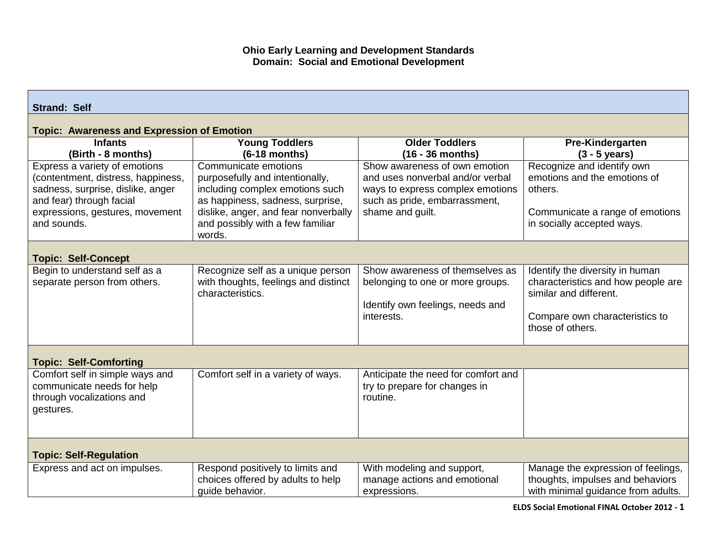## **Ohio Early Learning and Development Standards Domain: Social and Emotional Development**

| <b>Strand: Self</b>                                                                                                                                                                    |                                                                                                                                                                                                                      |                                                                                                                                                            |                                                                                                                                                       |  |  |  |
|----------------------------------------------------------------------------------------------------------------------------------------------------------------------------------------|----------------------------------------------------------------------------------------------------------------------------------------------------------------------------------------------------------------------|------------------------------------------------------------------------------------------------------------------------------------------------------------|-------------------------------------------------------------------------------------------------------------------------------------------------------|--|--|--|
| <b>Topic: Awareness and Expression of Emotion</b>                                                                                                                                      |                                                                                                                                                                                                                      |                                                                                                                                                            |                                                                                                                                                       |  |  |  |
| <b>Infants</b><br>(Birth - 8 months)                                                                                                                                                   | <b>Young Toddlers</b><br>$(6-18$ months)                                                                                                                                                                             | <b>Older Toddlers</b><br>$(16 - 36$ months)                                                                                                                | Pre-Kindergarten<br>$(3 - 5$ years)                                                                                                                   |  |  |  |
| Express a variety of emotions<br>(contentment, distress, happiness,<br>sadness, surprise, dislike, anger<br>and fear) through facial<br>expressions, gestures, movement<br>and sounds. | Communicate emotions<br>purposefully and intentionally,<br>including complex emotions such<br>as happiness, sadness, surprise,<br>dislike, anger, and fear nonverbally<br>and possibly with a few familiar<br>words. | Show awareness of own emotion<br>and uses nonverbal and/or verbal<br>ways to express complex emotions<br>such as pride, embarrassment,<br>shame and guilt. | Recognize and identify own<br>emotions and the emotions of<br>others.<br>Communicate a range of emotions<br>in socially accepted ways.                |  |  |  |
| <b>Topic: Self-Concept</b>                                                                                                                                                             |                                                                                                                                                                                                                      |                                                                                                                                                            |                                                                                                                                                       |  |  |  |
| Begin to understand self as a<br>separate person from others.                                                                                                                          | Recognize self as a unique person<br>with thoughts, feelings and distinct<br>characteristics.                                                                                                                        | Show awareness of themselves as<br>belonging to one or more groups.<br>Identify own feelings, needs and<br>interests.                                      | Identify the diversity in human<br>characteristics and how people are<br>similar and different.<br>Compare own characteristics to<br>those of others. |  |  |  |
| <b>Topic: Self-Comforting</b>                                                                                                                                                          |                                                                                                                                                                                                                      |                                                                                                                                                            |                                                                                                                                                       |  |  |  |
| Comfort self in simple ways and<br>communicate needs for help<br>through vocalizations and<br>gestures.                                                                                | Comfort self in a variety of ways.                                                                                                                                                                                   | Anticipate the need for comfort and<br>try to prepare for changes in<br>routine.                                                                           |                                                                                                                                                       |  |  |  |
| <b>Topic: Self-Regulation</b>                                                                                                                                                          |                                                                                                                                                                                                                      |                                                                                                                                                            |                                                                                                                                                       |  |  |  |
| Express and act on impulses.                                                                                                                                                           | Respond positively to limits and<br>choices offered by adults to help<br>quide behavior.                                                                                                                             | With modeling and support,<br>manage actions and emotional<br>expressions.                                                                                 | Manage the expression of feelings,<br>thoughts, impulses and behaviors<br>with minimal guidance from adults.                                          |  |  |  |

**ELDS Social Emotional FINAL October 2012 - 1**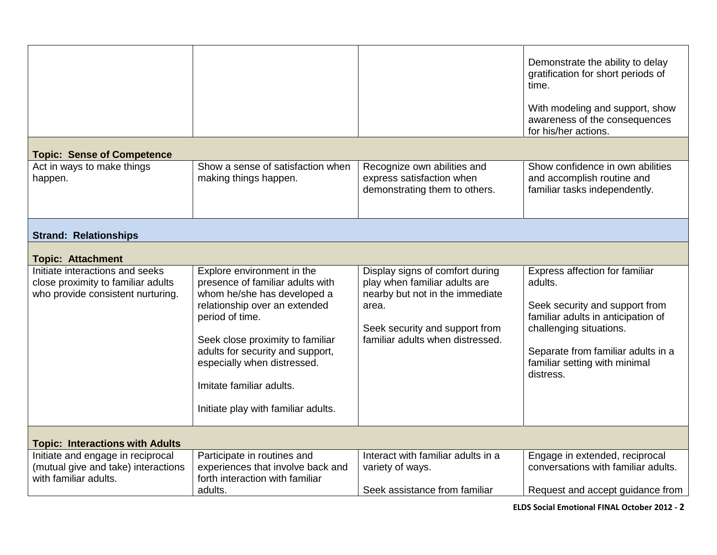|                                                                                                            |                                                                                                                                                                                                                                                                                                                             |                                                                                                                                                                                    | Demonstrate the ability to delay<br>gratification for short periods of<br>time.                                                                                                                                                  |  |  |  |
|------------------------------------------------------------------------------------------------------------|-----------------------------------------------------------------------------------------------------------------------------------------------------------------------------------------------------------------------------------------------------------------------------------------------------------------------------|------------------------------------------------------------------------------------------------------------------------------------------------------------------------------------|----------------------------------------------------------------------------------------------------------------------------------------------------------------------------------------------------------------------------------|--|--|--|
|                                                                                                            |                                                                                                                                                                                                                                                                                                                             |                                                                                                                                                                                    | With modeling and support, show<br>awareness of the consequences<br>for his/her actions.                                                                                                                                         |  |  |  |
| <b>Topic: Sense of Competence</b>                                                                          |                                                                                                                                                                                                                                                                                                                             |                                                                                                                                                                                    |                                                                                                                                                                                                                                  |  |  |  |
| Act in ways to make things<br>happen.                                                                      | Show a sense of satisfaction when<br>making things happen.                                                                                                                                                                                                                                                                  | Recognize own abilities and<br>express satisfaction when<br>demonstrating them to others.                                                                                          | Show confidence in own abilities<br>and accomplish routine and<br>familiar tasks independently.                                                                                                                                  |  |  |  |
| <b>Strand: Relationships</b>                                                                               |                                                                                                                                                                                                                                                                                                                             |                                                                                                                                                                                    |                                                                                                                                                                                                                                  |  |  |  |
| <b>Topic: Attachment</b>                                                                                   |                                                                                                                                                                                                                                                                                                                             |                                                                                                                                                                                    |                                                                                                                                                                                                                                  |  |  |  |
| Initiate interactions and seeks<br>close proximity to familiar adults<br>who provide consistent nurturing. | Explore environment in the<br>presence of familiar adults with<br>whom he/she has developed a<br>relationship over an extended<br>period of time.<br>Seek close proximity to familiar<br>adults for security and support,<br>especially when distressed.<br>Imitate familiar adults.<br>Initiate play with familiar adults. | Display signs of comfort during<br>play when familiar adults are<br>nearby but not in the immediate<br>area.<br>Seek security and support from<br>familiar adults when distressed. | Express affection for familiar<br>adults.<br>Seek security and support from<br>familiar adults in anticipation of<br>challenging situations.<br>Separate from familiar adults in a<br>familiar setting with minimal<br>distress. |  |  |  |
| <b>Topic: Interactions with Adults</b>                                                                     |                                                                                                                                                                                                                                                                                                                             |                                                                                                                                                                                    |                                                                                                                                                                                                                                  |  |  |  |
| Initiate and engage in reciprocal<br>(mutual give and take) interactions<br>with familiar adults.          | Participate in routines and<br>experiences that involve back and<br>forth interaction with familiar<br>adults.                                                                                                                                                                                                              | Interact with familiar adults in a<br>variety of ways.<br>Seek assistance from familiar                                                                                            | Engage in extended, reciprocal<br>conversations with familiar adults.<br>Request and accept guidance from                                                                                                                        |  |  |  |